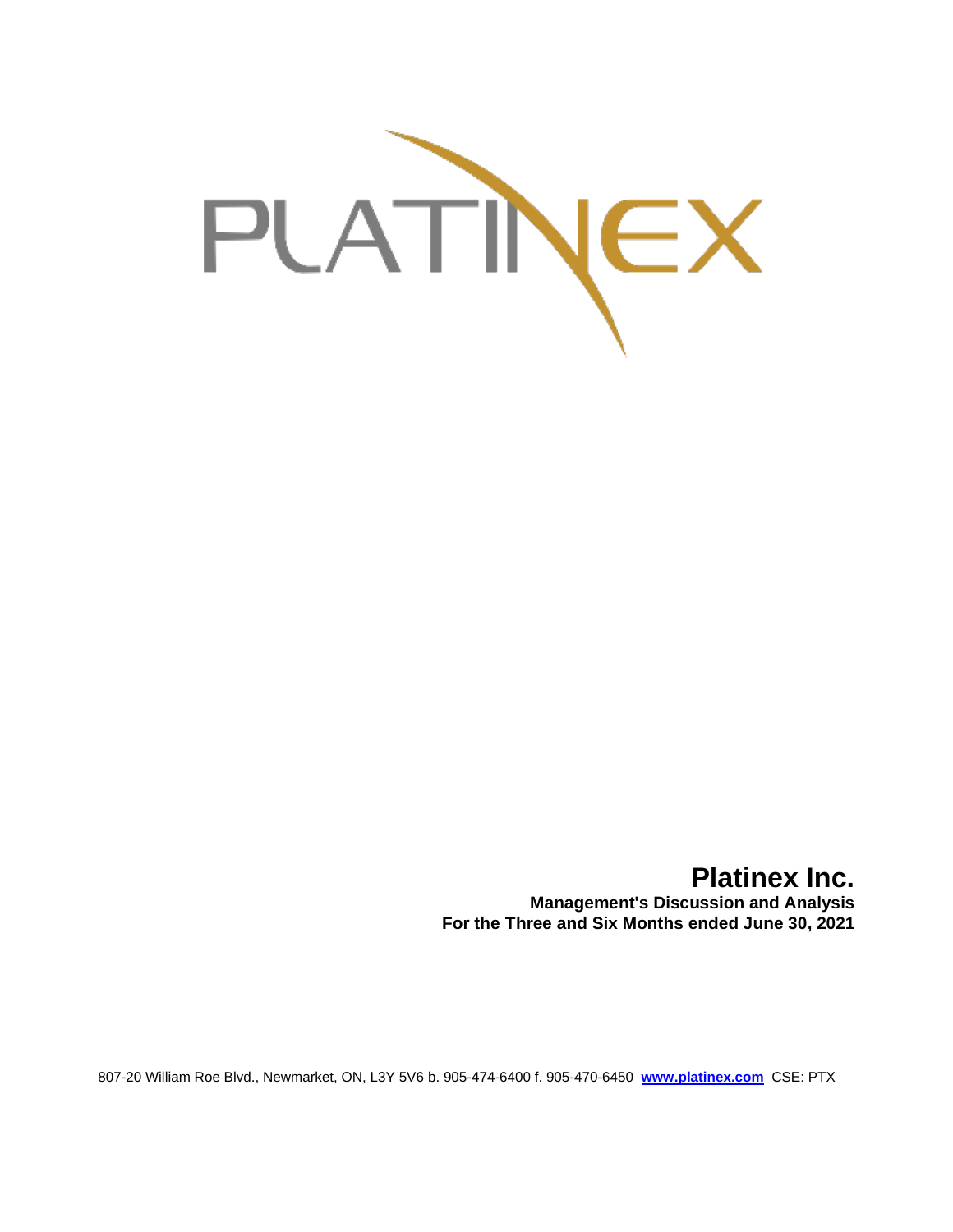

# **Platinex Inc.**

**Management's Discussion and Analysis For the Three and Six Months ended June 30, 2021**

807-20 William Roe Blvd., Newmarket, ON, L3Y 5V6 b. 905-474-6400 f. 905-470-6450 **[www.platinex.com](http://www.platinex.com/)** CSE: PTX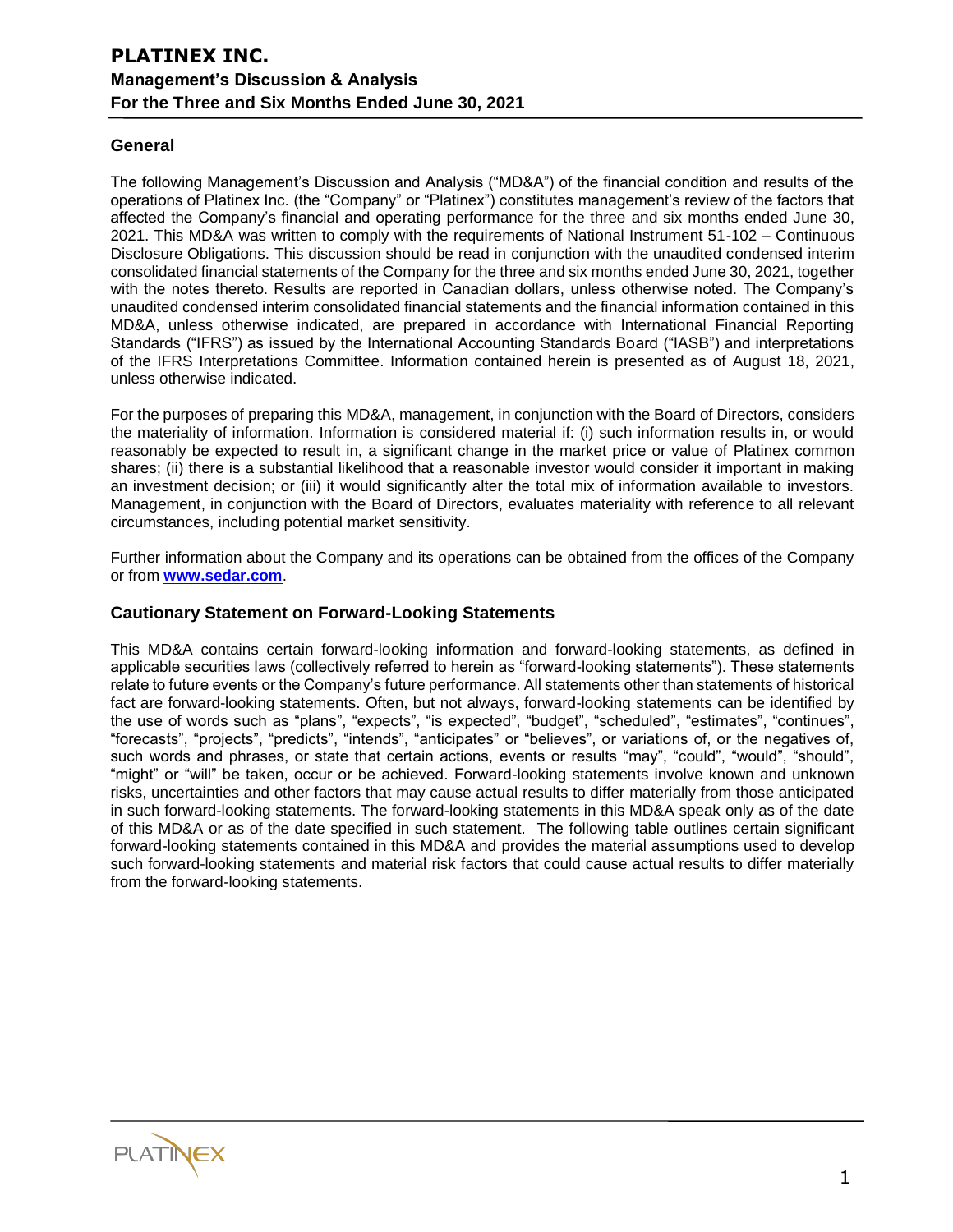### **General**

The following Management's Discussion and Analysis ("MD&A") of the financial condition and results of the operations of Platinex Inc. (the "Company" or "Platinex") constitutes management's review of the factors that affected the Company's financial and operating performance for the three and six months ended June 30, 2021. This MD&A was written to comply with the requirements of National Instrument 51-102 – Continuous Disclosure Obligations. This discussion should be read in conjunction with the unaudited condensed interim consolidated financial statements of the Company for the three and six months ended June 30, 2021, together with the notes thereto. Results are reported in Canadian dollars, unless otherwise noted. The Company's unaudited condensed interim consolidated financial statements and the financial information contained in this MD&A, unless otherwise indicated, are prepared in accordance with International Financial Reporting Standards ("IFRS") as issued by the International Accounting Standards Board ("IASB") and interpretations of the IFRS Interpretations Committee. Information contained herein is presented as of August 18, 2021, unless otherwise indicated.

For the purposes of preparing this MD&A, management, in conjunction with the Board of Directors, considers the materiality of information. Information is considered material if: (i) such information results in, or would reasonably be expected to result in, a significant change in the market price or value of Platinex common shares; (ii) there is a substantial likelihood that a reasonable investor would consider it important in making an investment decision; or (iii) it would significantly alter the total mix of information available to investors. Management, in conjunction with the Board of Directors, evaluates materiality with reference to all relevant circumstances, including potential market sensitivity.

Further information about the Company and its operations can be obtained from the offices of the Company or from **[www.sedar.com](http://www.sedar.com/)**.

### **Cautionary Statement on Forward-Looking Statements**

This MD&A contains certain forward-looking information and forward-looking statements, as defined in applicable securities laws (collectively referred to herein as "forward-looking statements"). These statements relate to future events or the Company's future performance. All statements other than statements of historical fact are forward-looking statements. Often, but not always, forward-looking statements can be identified by the use of words such as "plans", "expects", "is expected", "budget", "scheduled", "estimates", "continues", "forecasts", "projects", "predicts", "intends", "anticipates" or "believes", or variations of, or the negatives of, such words and phrases, or state that certain actions, events or results "may", "could", "would", "should", "might" or "will" be taken, occur or be achieved. Forward-looking statements involve known and unknown risks, uncertainties and other factors that may cause actual results to differ materially from those anticipated in such forward-looking statements. The forward-looking statements in this MD&A speak only as of the date of this MD&A or as of the date specified in such statement. The following table outlines certain significant forward-looking statements contained in this MD&A and provides the material assumptions used to develop such forward-looking statements and material risk factors that could cause actual results to differ materially from the forward-looking statements.

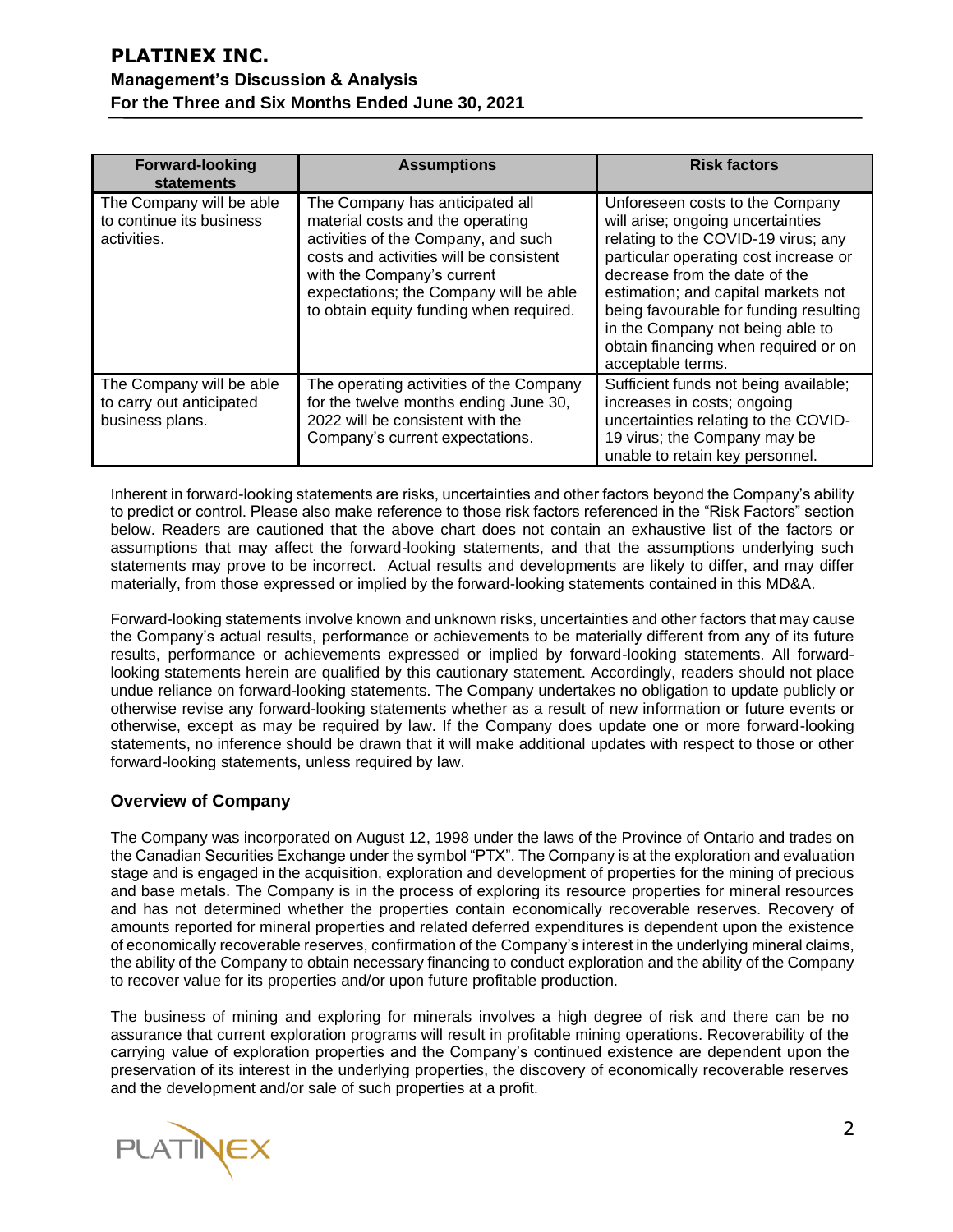| <b>Forward-looking</b><br>statements                                    | <b>Assumptions</b>                                                                                                                                                                                                                                                       | <b>Risk factors</b>                                                                                                                                                                                                                                                                                                                                                     |
|-------------------------------------------------------------------------|--------------------------------------------------------------------------------------------------------------------------------------------------------------------------------------------------------------------------------------------------------------------------|-------------------------------------------------------------------------------------------------------------------------------------------------------------------------------------------------------------------------------------------------------------------------------------------------------------------------------------------------------------------------|
| The Company will be able<br>to continue its business<br>activities.     | The Company has anticipated all<br>material costs and the operating<br>activities of the Company, and such<br>costs and activities will be consistent<br>with the Company's current<br>expectations; the Company will be able<br>to obtain equity funding when required. | Unforeseen costs to the Company<br>will arise; ongoing uncertainties<br>relating to the COVID-19 virus; any<br>particular operating cost increase or<br>decrease from the date of the<br>estimation; and capital markets not<br>being favourable for funding resulting<br>in the Company not being able to<br>obtain financing when required or on<br>acceptable terms. |
| The Company will be able<br>to carry out anticipated<br>business plans. | The operating activities of the Company<br>for the twelve months ending June 30,<br>2022 will be consistent with the<br>Company's current expectations.                                                                                                                  | Sufficient funds not being available;<br>increases in costs; ongoing<br>uncertainties relating to the COVID-<br>19 virus; the Company may be<br>unable to retain key personnel.                                                                                                                                                                                         |

Inherent in forward-looking statements are risks, uncertainties and other factors beyond the Company's ability to predict or control. Please also make reference to those risk factors referenced in the "Risk Factors" section below. Readers are cautioned that the above chart does not contain an exhaustive list of the factors or assumptions that may affect the forward-looking statements, and that the assumptions underlying such statements may prove to be incorrect. Actual results and developments are likely to differ, and may differ materially, from those expressed or implied by the forward-looking statements contained in this MD&A.

Forward-looking statements involve known and unknown risks, uncertainties and other factors that may cause the Company's actual results, performance or achievements to be materially different from any of its future results, performance or achievements expressed or implied by forward-looking statements. All forwardlooking statements herein are qualified by this cautionary statement. Accordingly, readers should not place undue reliance on forward-looking statements. The Company undertakes no obligation to update publicly or otherwise revise any forward-looking statements whether as a result of new information or future events or otherwise, except as may be required by law. If the Company does update one or more forward-looking statements, no inference should be drawn that it will make additional updates with respect to those or other forward-looking statements, unless required by law.

### **Overview of Company**

The Company was incorporated on August 12, 1998 under the laws of the Province of Ontario and trades on the Canadian Securities Exchange under the symbol "PTX". The Company is at the exploration and evaluation stage and is engaged in the acquisition, exploration and development of properties for the mining of precious and base metals. The Company is in the process of exploring its resource properties for mineral resources and has not determined whether the properties contain economically recoverable reserves. Recovery of amounts reported for mineral properties and related deferred expenditures is dependent upon the existence of economically recoverable reserves, confirmation of the Company's interest in the underlying mineral claims, the ability of the Company to obtain necessary financing to conduct exploration and the ability of the Company to recover value for its properties and/or upon future profitable production.

The business of mining and exploring for minerals involves a high degree of risk and there can be no assurance that current exploration programs will result in profitable mining operations. Recoverability of the carrying value of exploration properties and the Company's continued existence are dependent upon the preservation of its interest in the underlying properties, the discovery of economically recoverable reserves and the development and/or sale of such properties at a profit.

**PLATINEX**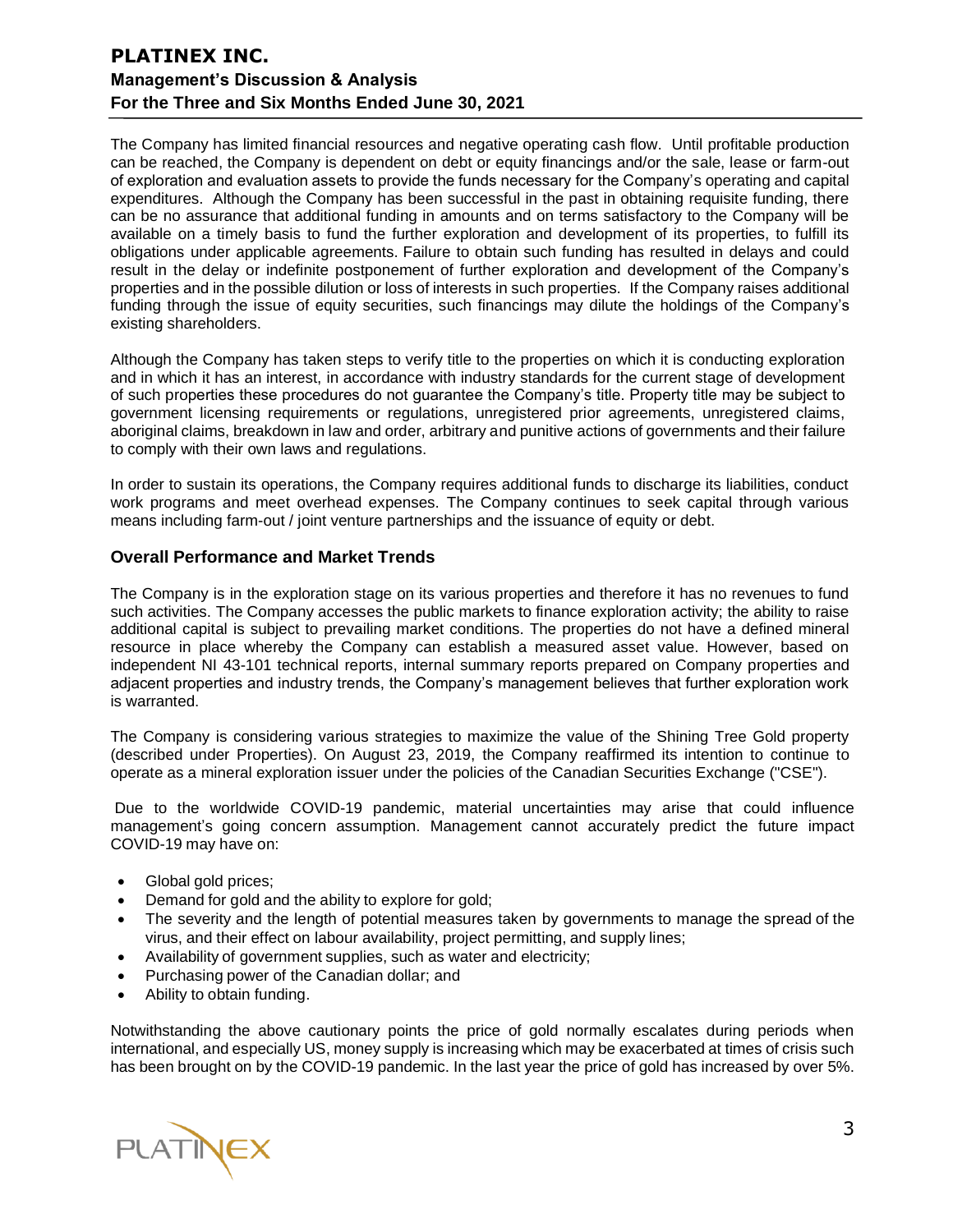The Company has limited financial resources and negative operating cash flow. Until profitable production can be reached, the Company is dependent on debt or equity financings and/or the sale, lease or farm-out of exploration and evaluation assets to provide the funds necessary for the Company's operating and capital expenditures. Although the Company has been successful in the past in obtaining requisite funding, there can be no assurance that additional funding in amounts and on terms satisfactory to the Company will be available on a timely basis to fund the further exploration and development of its properties, to fulfill its obligations under applicable agreements. Failure to obtain such funding has resulted in delays and could result in the delay or indefinite postponement of further exploration and development of the Company's properties and in the possible dilution or loss of interests in such properties. If the Company raises additional funding through the issue of equity securities, such financings may dilute the holdings of the Company's existing shareholders.

Although the Company has taken steps to verify title to the properties on which it is conducting exploration and in which it has an interest, in accordance with industry standards for the current stage of development of such properties these procedures do not guarantee the Company's title. Property title may be subject to government licensing requirements or regulations, unregistered prior agreements, unregistered claims, aboriginal claims, breakdown in law and order, arbitrary and punitive actions of governments and their failure to comply with their own laws and regulations.

In order to sustain its operations, the Company requires additional funds to discharge its liabilities, conduct work programs and meet overhead expenses. The Company continues to seek capital through various means including farm-out / joint venture partnerships and the issuance of equity or debt.

#### **Overall Performance and Market Trends**

The Company is in the exploration stage on its various properties and therefore it has no revenues to fund such activities. The Company accesses the public markets to finance exploration activity; the ability to raise additional capital is subject to prevailing market conditions. The properties do not have a defined mineral resource in place whereby the Company can establish a measured asset value. However, based on independent NI 43-101 technical reports, internal summary reports prepared on Company properties and adjacent properties and industry trends, the Company's management believes that further exploration work is warranted.

The Company is considering various strategies to maximize the value of the Shining Tree Gold property (described under Properties). On August 23, 2019, the Company reaffirmed its intention to continue to operate as a mineral exploration issuer under the policies of the Canadian Securities Exchange ("CSE").

Due to the worldwide COVID-19 pandemic, material uncertainties may arise that could influence management's going concern assumption. Management cannot accurately predict the future impact COVID-19 may have on:

- Global gold prices;
- Demand for gold and the ability to explore for gold;
- The severity and the length of potential measures taken by governments to manage the spread of the virus, and their effect on labour availability, project permitting, and supply lines;
- Availabilityof government supplies, such as water and electricity;
- Purchasing power of the Canadian dollar; and
- Ability to obtain funding.

Notwithstanding the above cautionary points the price of gold normally escalates during periods when international, and especially US, money supply is increasing which may be exacerbated at times of crisis such has been brought on by the COVID-19 pandemic. In the last year the price of gold has increased by over 5%.

PLATINEX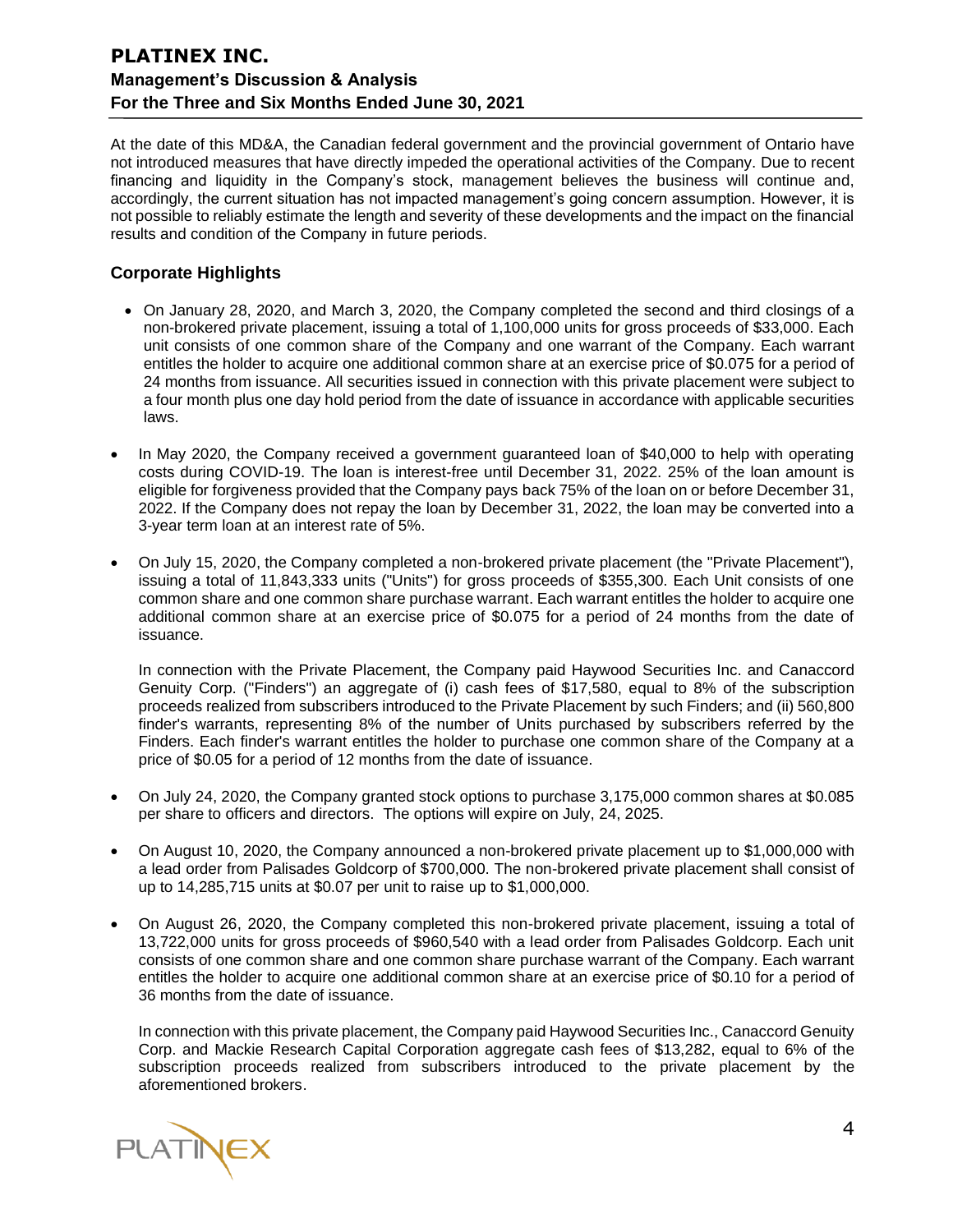At the date of this MD&A, the Canadian federal government and the provincial government of Ontario have not introduced measures that have directly impeded the operational activities of the Company. Due to recent financing and liquidity in the Company's stock, management believes the business will continue and, accordingly, the current situation has not impacted management's going concern assumption. However, it is not possible to reliably estimate the length and severity of these developments and the impact on the financial results and condition of the Company in future periods.

### **Corporate Highlights**

- On January 28, 2020, and March 3, 2020, the Company completed the second and third closings of a non-brokered private placement, issuing a total of 1,100,000 units for gross proceeds of \$33,000. Each unit consists of one common share of the Company and one warrant of the Company. Each warrant entitles the holder to acquire one additional common share at an exercise price of \$0.075 for a period of 24 months from issuance. All securities issued in connection with this private placement were subject to a four month plus one day hold period from the date of issuance in accordance with applicable securities laws.
- In May 2020, the Company received a government guaranteed loan of \$40,000 to help with operating costs during COVID-19. The loan is interest-free until December 31, 2022. 25% of the loan amount is eligible for forgiveness provided that the Company pays back 75% of the loan on or before December 31, 2022. If the Company does not repay the loan by December 31, 2022, the loan may be converted into a 3-year term loan at an interest rate of 5%.
- On July 15, 2020, the Company completed a non-brokered private placement (the "Private Placement"), issuing a total of 11,843,333 units ("Units") for gross proceeds of \$355,300. Each Unit consists of one common share and one common share purchase warrant. Each warrant entitles the holder to acquire one additional common share at an exercise price of \$0.075 for a period of 24 months from the date of issuance.

In connection with the Private Placement, the Company paid Haywood Securities Inc. and Canaccord Genuity Corp. ("Finders") an aggregate of (i) cash fees of \$17,580, equal to 8% of the subscription proceeds realized from subscribers introduced to the Private Placement by such Finders; and (ii) 560,800 finder's warrants, representing 8% of the number of Units purchased by subscribers referred by the Finders. Each finder's warrant entitles the holder to purchase one common share of the Company at a price of \$0.05 for a period of 12 months from the date of issuance.

- On July 24, 2020, the Company granted stock options to purchase 3,175,000 common shares at \$0.085 per share to officers and directors. The options will expire on July, 24, 2025.
- On August 10, 2020, the Company announced a non-brokered private placement up to \$1,000,000 with a lead order from Palisades Goldcorp of \$700,000. The non-brokered private placement shall consist of up to 14,285,715 units at \$0.07 per unit to raise up to \$1,000,000.
- On August 26, 2020, the Company completed this non-brokered private placement, issuing a total of 13,722,000 units for gross proceeds of \$960,540 with a lead order from Palisades Goldcorp. Each unit consists of one common share and one common share purchase warrant of the Company. Each warrant entitles the holder to acquire one additional common share at an exercise price of \$0.10 for a period of 36 months from the date of issuance.

In connection with this private placement, the Company paid Haywood Securities Inc., Canaccord Genuity Corp. and Mackie Research Capital Corporation aggregate cash fees of \$13,282, equal to 6% of the subscription proceeds realized from subscribers introduced to the private placement by the aforementioned brokers.

PLATINEX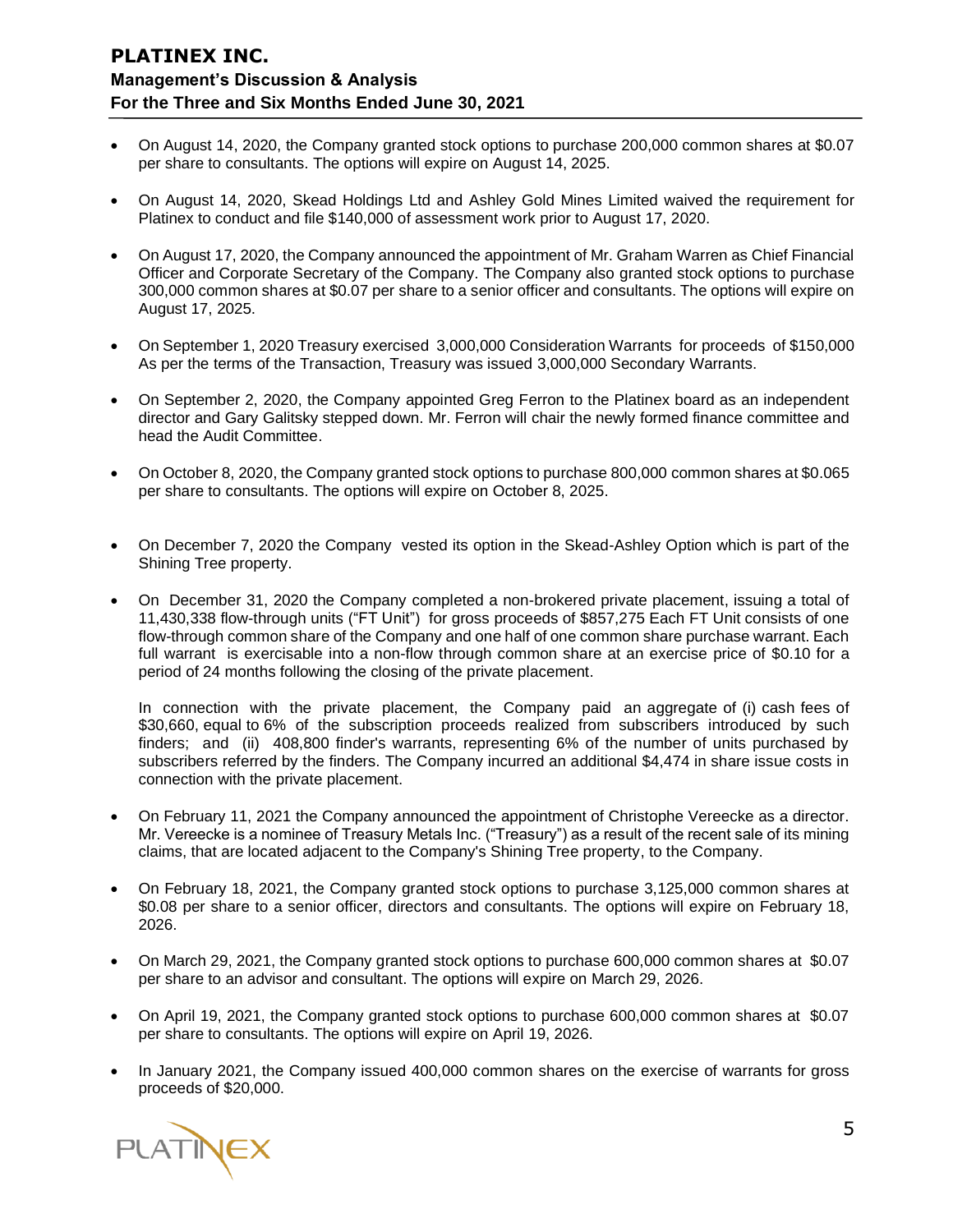- On August 14, 2020, the Company granted stock options to purchase 200,000 common shares at \$0.07 per share to consultants. The options will expire on August 14, 2025.
- On August 14, 2020, Skead Holdings Ltd and Ashley Gold Mines Limited waived the requirement for Platinex to conduct and file \$140,000 of assessment work prior to August 17, 2020.
- On August 17, 2020, the Company announced the appointment of Mr. Graham Warren as Chief Financial Officer and Corporate Secretary of the Company. The Company also granted stock options to purchase 300,000 common shares at \$0.07 per share to a senior officer and consultants. The options will expire on August 17, 2025.
- On September 1, 2020 Treasury exercised 3,000,000 Consideration Warrants for proceeds of \$150,000 As per the terms of the Transaction, Treasury was issued 3,000,000 Secondary Warrants.
- On September 2, 2020, the Company appointed Greg Ferron to the Platinex board as an independent director and Gary Galitsky stepped down. Mr. Ferron will chair the newly formed finance committee and head the Audit Committee.
- On October 8, 2020, the Company granted stock options to purchase 800,000 common shares at \$0.065 per share to consultants. The options will expire on October 8, 2025.
- On December 7, 2020 the Company vested its option in the Skead-Ashley Option which is part of the Shining Tree property.
- On December 31, 2020 the Company completed a non-brokered private placement, issuing a total of 11,430,338 flow-through units ("FT Unit") for gross proceeds of \$857,275 Each FT Unit consists of one flow-through common share of the Company and one half of one common share purchase warrant. Each full warrant is exercisable into a non-flow through common share at an exercise price of \$0.10 for a period of 24 months following the closing of the private placement.

In connection with the private placement, the Company paid an aggregate of (i) cash fees of \$30,660, equal to 6% of the subscription proceeds realized from subscribers introduced by such finders; and (ii) 408,800 finder's warrants, representing 6% of the number of units purchased by subscribers referred by the finders. The Company incurred an additional \$4,474 in share issue costs in connection with the private placement.

- On February 11, 2021 the Company announced the appointment of Christophe Vereecke as a director. Mr. Vereecke is a nominee of Treasury Metals Inc. ("Treasury") as a result of the recent sale of its mining claims, that are located adjacent to the Company's Shining Tree property, to the Company.
- On February 18, 2021, the Company granted stock options to purchase 3,125,000 common shares at \$0.08 per share to a senior officer, directors and consultants. The options will expire on February 18, 2026.
- On March 29, 2021, the Company granted stock options to purchase 600,000 common shares at \$0.07 per share to an advisor and consultant. The options will expire on March 29, 2026.
- On April 19, 2021, the Company granted stock options to purchase 600,000 common shares at \$0.07 per share to consultants. The options will expire on April 19, 2026.
- In January 2021, the Company issued 400,000 common shares on the exercise of warrants for gross proceeds of \$20,000.

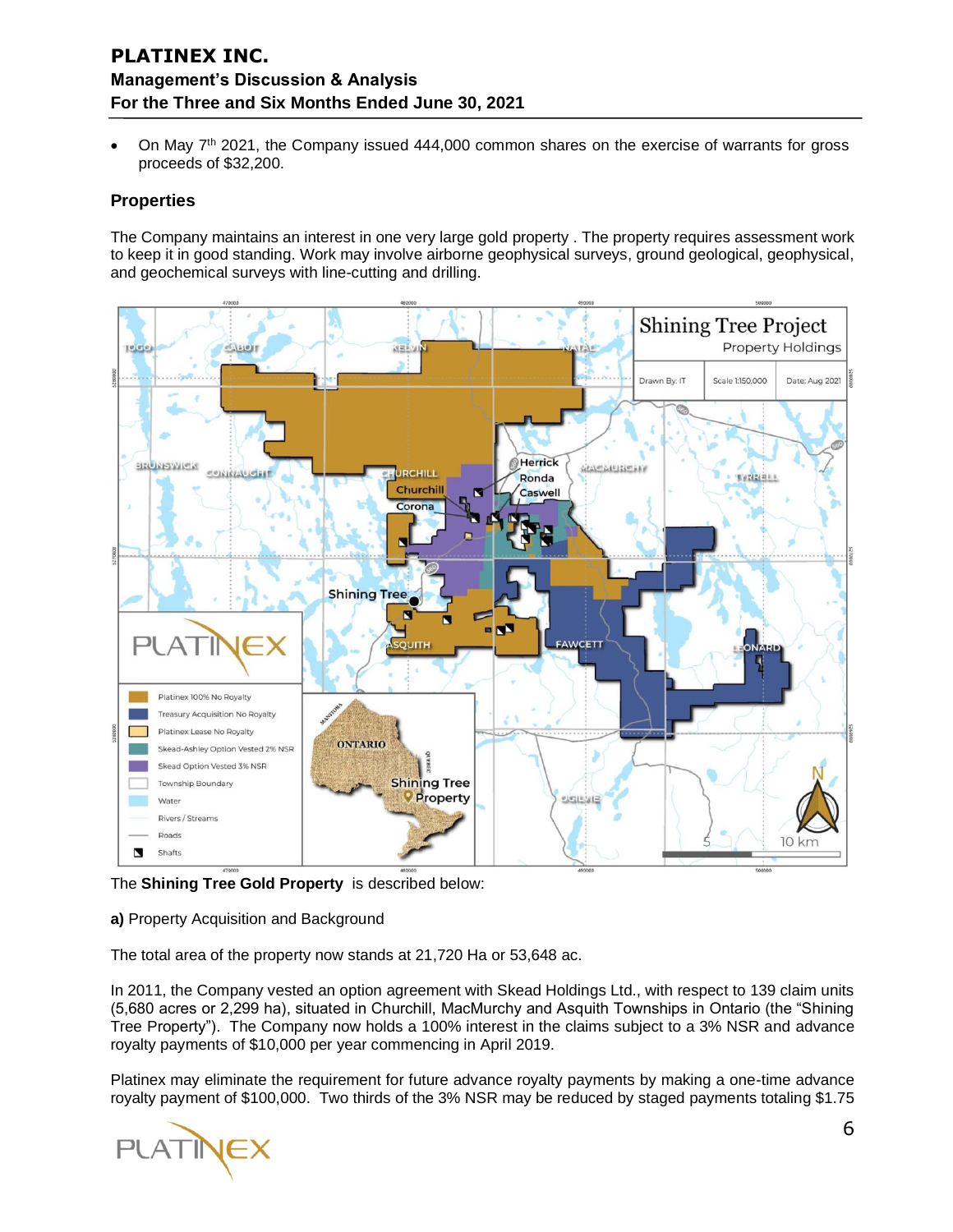On May  $7<sup>th</sup>$  2021, the Company issued 444,000 common shares on the exercise of warrants for gross proceeds of \$32,200.

### **Properties**

The Company maintains an interest in one very large gold property . The property requires assessment work to keep it in good standing. Work may involve airborne geophysical surveys, ground geological, geophysical, and geochemical surveys with line-cutting and drilling.



The **Shining Tree Gold Property** is described below:

#### **a)** Property Acquisition and Background

The total area of the property now stands at 21,720 Ha or 53,648 ac.

In 2011, the Company vested an option agreement with Skead Holdings Ltd., with respect to 139 claim units (5,680 acres or 2,299 ha), situated in Churchill, MacMurchy and Asquith Townships in Ontario (the "Shining Tree Property"). The Company now holds a 100% interest in the claims subject to a 3% NSR and advance royalty payments of \$10,000 per year commencing in April 2019.

Platinex may eliminate the requirement for future advance royalty payments by making a one-time advance royalty payment of \$100,000. Two thirds of the 3% NSR may be reduced by staged payments totaling \$1.75

**PLATINEX**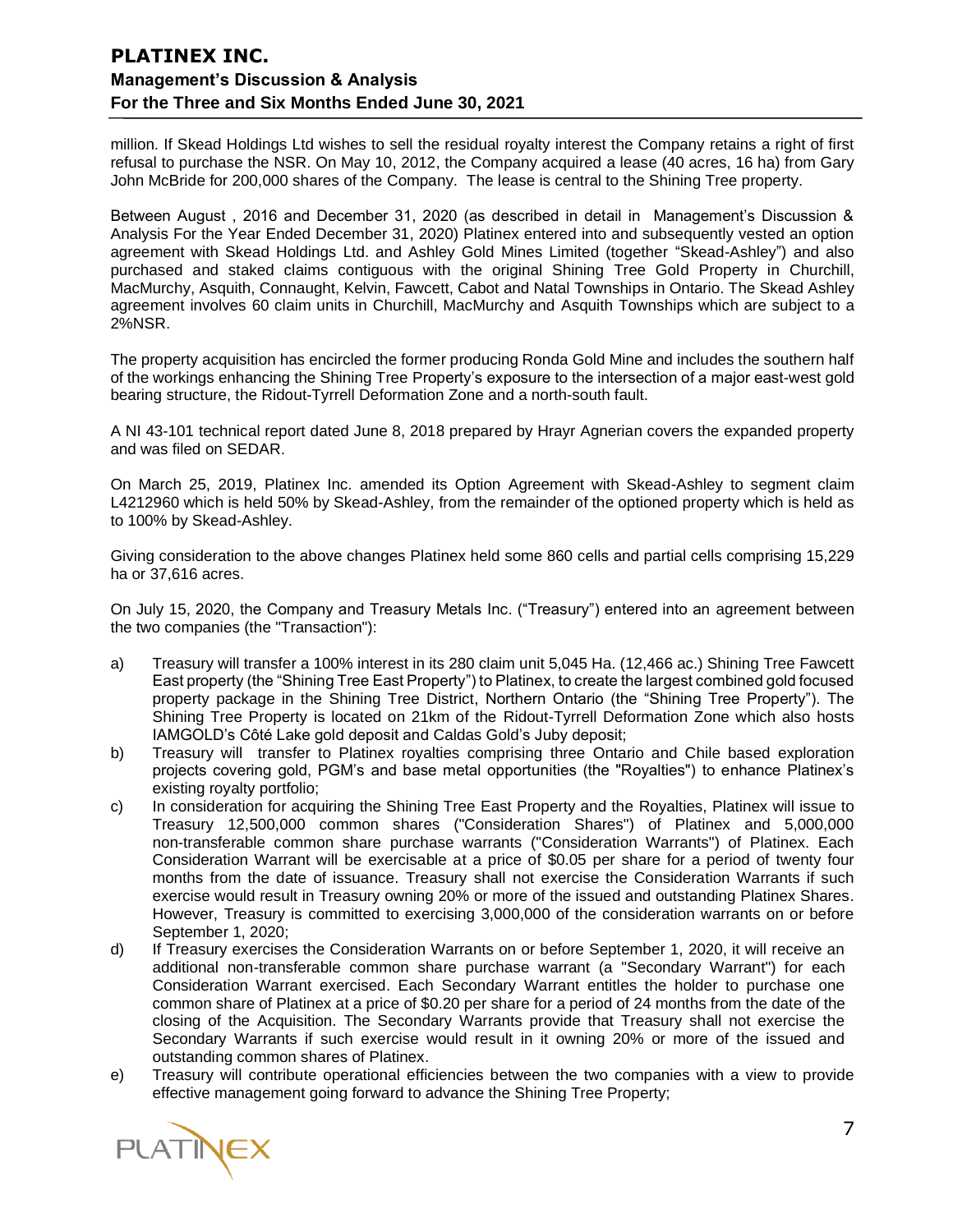million. If Skead Holdings Ltd wishes to sell the residual royalty interest the Company retains a right of first refusal to purchase the NSR. On May 10, 2012, the Company acquired a lease (40 acres, 16 ha) from Gary John McBride for 200,000 shares of the Company. The lease is central to the Shining Tree property.

Between August , 2016 and December 31, 2020 (as described in detail in Management's Discussion & Analysis For the Year Ended December 31, 2020) Platinex entered into and subsequently vested an option agreement with Skead Holdings Ltd. and Ashley Gold Mines Limited (together "Skead-Ashley") and also purchased and staked claims contiguous with the original Shining Tree Gold Property in Churchill, MacMurchy, Asquith, Connaught, Kelvin, Fawcett, Cabot and Natal Townships in Ontario. The Skead Ashley agreement involves 60 claim units in Churchill, MacMurchy and Asquith Townships which are subject to a 2%NSR.

The property acquisition has encircled the former producing Ronda Gold Mine and includes the southern half of the workings enhancing the Shining Tree Property's exposure to the intersection of a major east-west gold bearing structure, the Ridout-Tyrrell Deformation Zone and a north-south fault.

A NI 43-101 technical report dated June 8, 2018 prepared by Hrayr Agnerian covers the expanded property and was filed on SEDAR.

On March 25, 2019, Platinex Inc. amended its Option Agreement with Skead-Ashley to segment claim L4212960 which is held 50% by Skead-Ashley, from the remainder of the optioned property which is held as to 100% by Skead-Ashley.

Giving consideration to the above changes Platinex held some 860 cells and partial cells comprising 15,229 ha or 37,616 acres.

On July 15, 2020, the Company and Treasury Metals Inc. ("Treasury") entered into an agreement between the two companies (the "Transaction"):

- a) Treasury will transfer a 100% interest in its 280 claim unit 5,045 Ha. (12,466 ac.) Shining Tree Fawcett East property (the "Shining Tree East Property") to Platinex, to create the largest combined gold focused property package in the Shining Tree District, Northern Ontario (the "Shining Tree Property"). The Shining Tree Property is located on 21km of the Ridout-Tyrrell Deformation Zone which also hosts IAMGOLD's Côté Lake gold deposit and Caldas Gold's Juby deposit;
- b) Treasury will transfer to Platinex royalties comprising three Ontario and Chile based exploration projects covering gold, PGM's and base metal opportunities (the "Royalties") to enhance Platinex's existing royalty portfolio;
- c) In consideration for acquiring the Shining Tree East Property and the Royalties, Platinex will issue to Treasury 12,500,000 common shares ("Consideration Shares") of Platinex and 5,000,000 non-transferable common share purchase warrants ("Consideration Warrants") of Platinex. Each Consideration Warrant will be exercisable at a price of \$0.05 per share for a period of twenty four months from the date of issuance. Treasury shall not exercise the Consideration Warrants if such exercise would result in Treasury owning 20% or more of the issued and outstanding Platinex Shares. However, Treasury is committed to exercising 3,000,000 of the consideration warrants on or before September 1, 2020;
- d) If Treasury exercises the Consideration Warrants on or before September 1, 2020, it will receive an additional non-transferable common share purchase warrant (a "Secondary Warrant") for each Consideration Warrant exercised. Each Secondary Warrant entitles the holder to purchase one common share of Platinex at a price of \$0.20 per share for a period of 24 months from the date of the closing of the Acquisition. The Secondary Warrants provide that Treasury shall not exercise the Secondary Warrants if such exercise would result in it owning 20% or more of the issued and outstanding common shares of Platinex.
- e) Treasury will contribute operational efficiencies between the two companies with a view to provide effective management going forward to advance the Shining Tree Property;

PLATINEX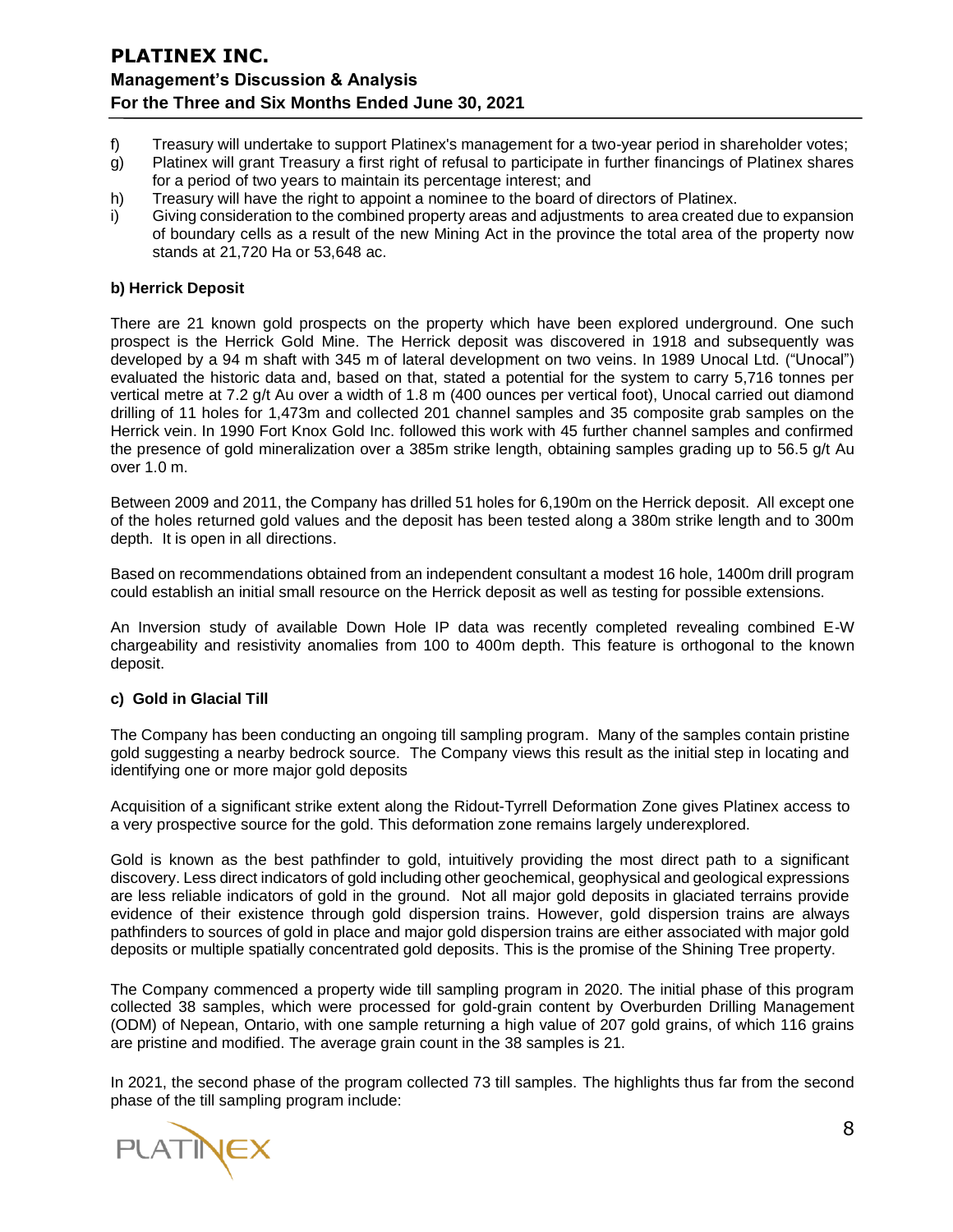- f) Treasury will undertake to support Platinex's management for a two-year period in shareholder votes;
- g) Platinex will grant Treasury a first right of refusal to participate in further financings of Platinex shares for a period of two years to maintain its percentage interest; and
- h) Treasury will have the right to appoint a nominee to the board of directors of Platinex.
- i) Giving consideration to the combined property areas and adjustments to area created due to expansion of boundary cells as a result of the new Mining Act in the province the total area of the property now stands at 21,720 Ha or 53,648 ac.

#### **b) Herrick Deposit**

There are 21 known gold prospects on the property which have been explored underground. One such prospect is the Herrick Gold Mine. The Herrick deposit was discovered in 1918 and subsequently was developed by a 94 m shaft with 345 m of lateral development on two veins. In 1989 Unocal Ltd. ("Unocal") evaluated the historic data and, based on that, stated a potential for the system to carry 5,716 tonnes per vertical metre at 7.2 g/t Au over a width of 1.8 m (400 ounces per vertical foot), Unocal carried out diamond drilling of 11 holes for 1,473m and collected 201 channel samples and 35 composite grab samples on the Herrick vein. In 1990 Fort Knox Gold Inc. followed this work with 45 further channel samples and confirmed the presence of gold mineralization over a 385m strike length, obtaining samples grading up to 56.5 g/t Au over 1.0 m.

Between 2009 and 2011, the Company has drilled 51 holes for 6,190m on the Herrick deposit. All except one of the holes returned gold values and the deposit has been tested along a 380m strike length and to 300m depth. It is open in all directions.

Based on recommendations obtained from an independent consultant a modest 16 hole, 1400m drill program could establish an initial small resource on the Herrick deposit as well as testing for possible extensions.

An Inversion study of available Down Hole IP data was recently completed revealing combined E-W chargeability and resistivity anomalies from 100 to 400m depth. This feature is orthogonal to the known deposit.

#### **c) Gold in Glacial Till**

The Company has been conducting an ongoing till sampling program. Many of the samples contain pristine gold suggesting a nearby bedrock source. The Company views this result as the initial step in locating and identifying one or more major gold deposits

Acquisition of a significant strike extent along the Ridout-Tyrrell Deformation Zone gives Platinex access to a very prospective source for the gold. This deformation zone remains largely underexplored.

Gold is known as the best pathfinder to gold, intuitively providing the most direct path to a significant discovery. Less direct indicators of gold including other geochemical, geophysical and geological expressions are less reliable indicators of gold in the ground. Not all major gold deposits in glaciated terrains provide evidence of their existence through gold dispersion trains. However, gold dispersion trains are always pathfinders to sources of gold in place and major gold dispersion trains are either associated with major gold deposits or multiple spatially concentrated gold deposits. This is the promise of the Shining Tree property.

The Company commenced a property wide till sampling program in 2020. The initial phase of this program collected 38 samples, which were processed for gold-grain content by Overburden Drilling Management (ODM) of Nepean, Ontario, with one sample returning a high value of 207 gold grains, of which 116 grains are pristine and modified. The average grain count in the 38 samples is 21.

In 2021, the second phase of the program collected 73 till samples. The highlights thus far from the second phase of the till sampling program include:

**PLATINEX**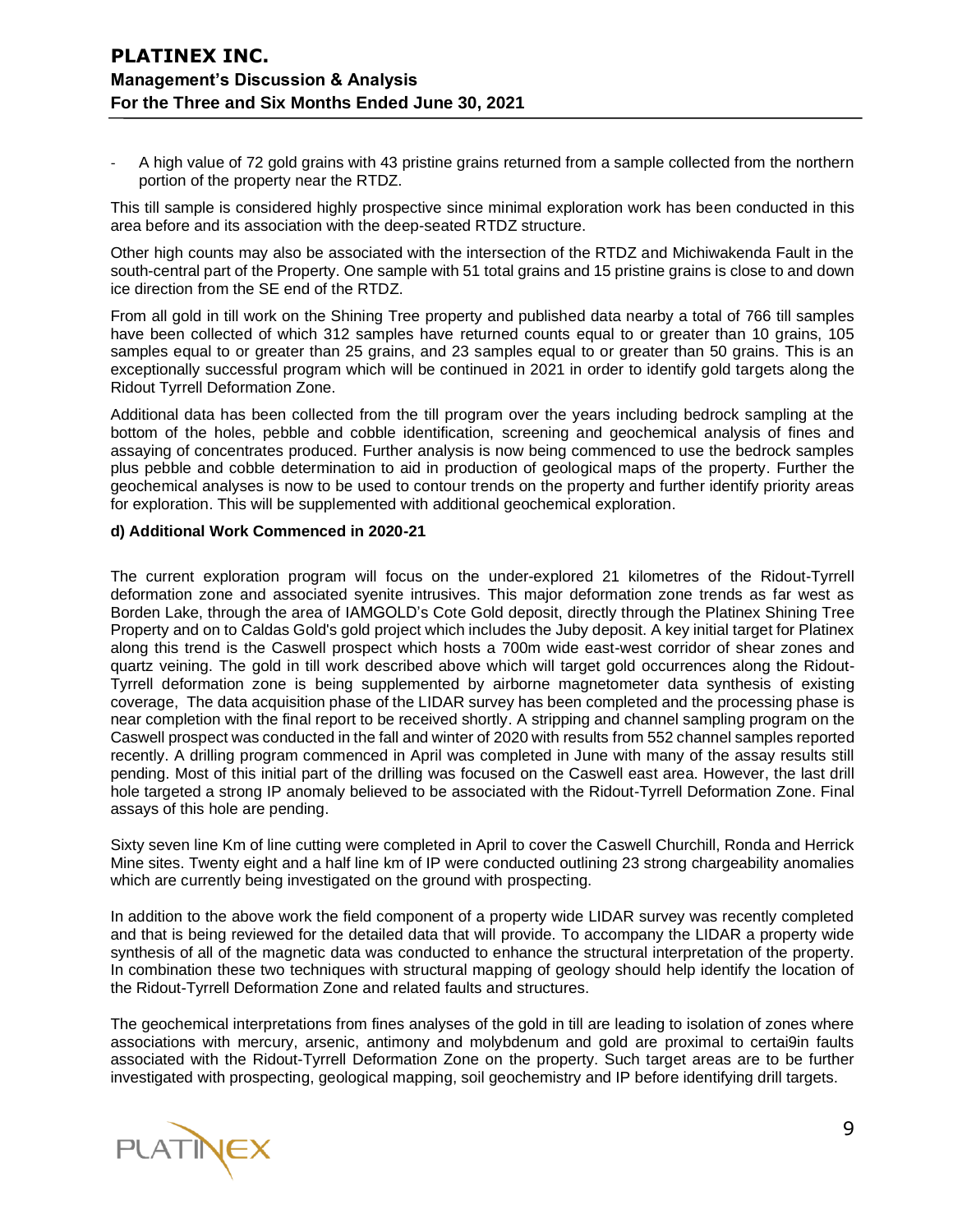A high value of 72 gold grains with 43 pristine grains returned from a sample collected from the northern portion of the property near the RTDZ.

This till sample is considered highly prospective since minimal exploration work has been conducted in this area before and its association with the deep-seated RTDZ structure.

Other high counts may also be associated with the intersection of the RTDZ and Michiwakenda Fault in the south-central part of the Property. One sample with 51 total grains and 15 pristine grains is close to and down ice direction from the SE end of the RTDZ.

From all gold in till work on the Shining Tree property and published data nearby a total of 766 till samples have been collected of which 312 samples have returned counts equal to or greater than 10 grains, 105 samples equal to or greater than 25 grains, and 23 samples equal to or greater than 50 grains. This is an exceptionally successful program which will be continued in 2021 in order to identify gold targets along the Ridout Tyrrell Deformation Zone.

Additional data has been collected from the till program over the years including bedrock sampling at the bottom of the holes, pebble and cobble identification, screening and geochemical analysis of fines and assaying of concentrates produced. Further analysis is now being commenced to use the bedrock samples plus pebble and cobble determination to aid in production of geological maps of the property. Further the geochemical analyses is now to be used to contour trends on the property and further identify priority areas for exploration. This will be supplemented with additional geochemical exploration.

#### **d) Additional Work Commenced in 2020-21**

The current exploration program will focus on the under-explored 21 kilometres of the Ridout-Tyrrell deformation zone and associated syenite intrusives. This major deformation zone trends as far west as Borden Lake, through the area of IAMGOLD's Cote Gold deposit, directly through the Platinex Shining Tree Property and on to Caldas Gold's gold project which includes the Juby deposit. A key initial target for Platinex along this trend is the Caswell prospect which hosts a 700m wide east-west corridor of shear zones and quartz veining. The gold in till work described above which will target gold occurrences along the Ridout-Tyrrell deformation zone is being supplemented by airborne magnetometer data synthesis of existing coverage, The data acquisition phase of the LIDAR survey has been completed and the processing phase is near completion with the final report to be received shortly. A stripping and channel sampling program on the Caswell prospect was conducted in the fall and winter of 2020 with results from 552 channel samples reported recently. A drilling program commenced in April was completed in June with many of the assay results still pending. Most of this initial part of the drilling was focused on the Caswell east area. However, the last drill hole targeted a strong IP anomaly believed to be associated with the Ridout-Tyrrell Deformation Zone. Final assays of this hole are pending.

Sixty seven line Km of line cutting were completed in April to cover the Caswell Churchill, Ronda and Herrick Mine sites. Twenty eight and a half line km of IP were conducted outlining 23 strong chargeability anomalies which are currently being investigated on the ground with prospecting.

In addition to the above work the field component of a property wide LIDAR survey was recently completed and that is being reviewed for the detailed data that will provide. To accompany the LIDAR a property wide synthesis of all of the magnetic data was conducted to enhance the structural interpretation of the property. In combination these two techniques with structural mapping of geology should help identify the location of the Ridout-Tyrrell Deformation Zone and related faults and structures.

The geochemical interpretations from fines analyses of the gold in till are leading to isolation of zones where associations with mercury, arsenic, antimony and molybdenum and gold are proximal to certai9in faults associated with the Ridout-Tyrrell Deformation Zone on the property. Such target areas are to be further investigated with prospecting, geological mapping, soil geochemistry and IP before identifying drill targets.

**PLATINEX**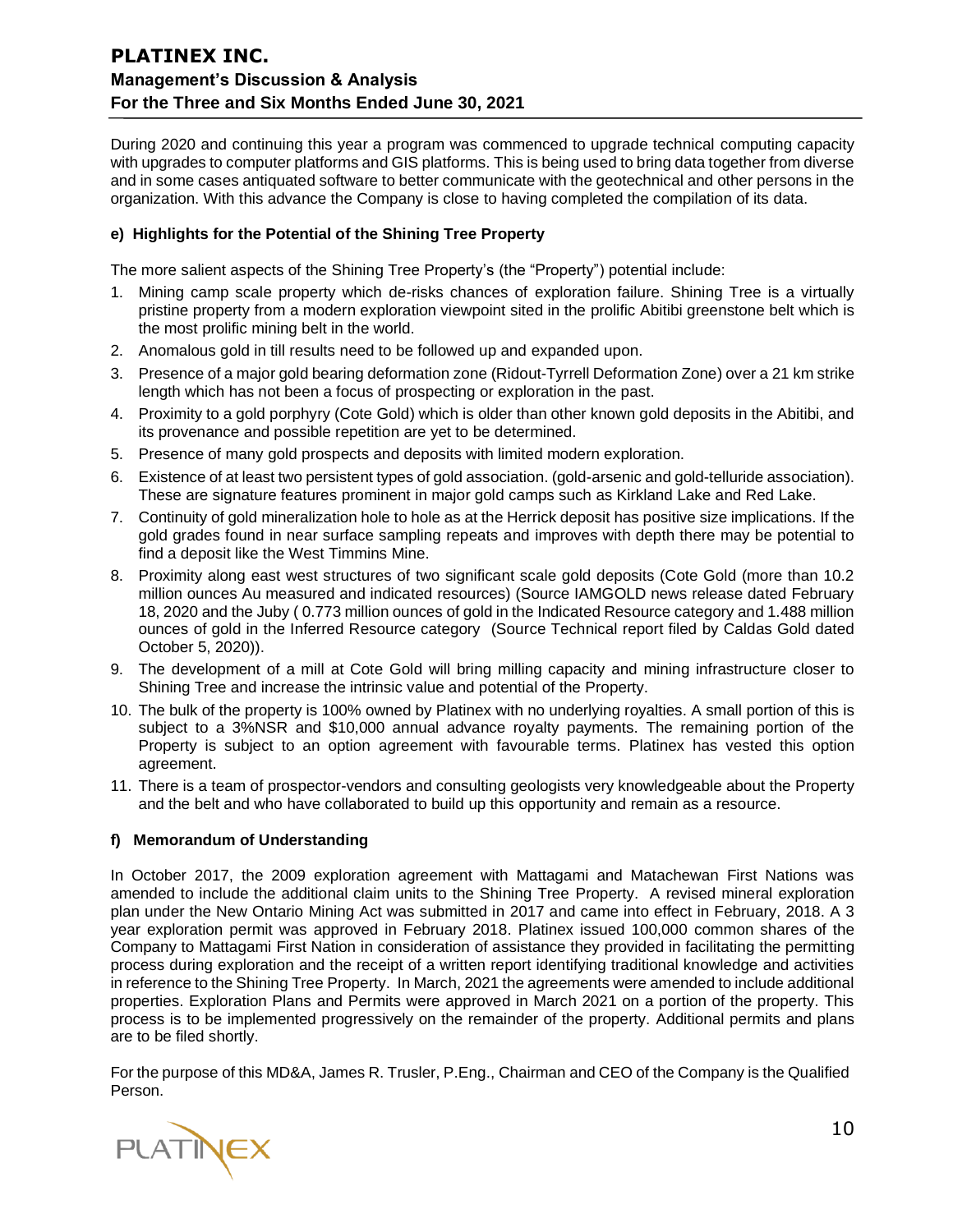During 2020 and continuing this year a program was commenced to upgrade technical computing capacity with upgrades to computer platforms and GIS platforms. This is being used to bring data together from diverse and in some cases antiquated software to better communicate with the geotechnical and other persons in the organization. With this advance the Company is close to having completed the compilation of its data.

#### **e) Highlights for the Potential of the Shining Tree Property**

The more salient aspects of the Shining Tree Property's (the "Property") potential include:

- 1. Mining camp scale property which de-risks chances of exploration failure. Shining Tree is a virtually pristine property from a modern exploration viewpoint sited in the prolific Abitibi greenstone belt which is the most prolific mining belt in the world.
- 2. Anomalous gold in till results need to be followed up and expanded upon.
- 3. Presence of a major gold bearing deformation zone (Ridout-Tyrrell Deformation Zone) over a 21 km strike length which has not been a focus of prospecting or exploration in the past.
- 4. Proximity to a gold porphyry (Cote Gold) which is older than other known gold deposits in the Abitibi, and its provenance and possible repetition are yet to be determined.
- 5. Presence of many gold prospects and deposits with limited modern exploration.
- 6. Existence of at least two persistent types of gold association. (gold-arsenic and gold-telluride association). These are signature features prominent in major gold camps such as Kirkland Lake and Red Lake.
- 7. Continuity of gold mineralization hole to hole as at the Herrick deposit has positive size implications. If the gold grades found in near surface sampling repeats and improves with depth there may be potential to find a deposit like the West Timmins Mine.
- 8. Proximity along east west structures of two significant scale gold deposits (Cote Gold (more than 10.2 million ounces Au measured and indicated resources) (Source IAMGOLD news release dated February 18, 2020 and the Juby ( 0.773 million ounces of gold in the Indicated Resource category and 1.488 million ounces of gold in the Inferred Resource category (Source Technical report filed by Caldas Gold dated October 5, 2020)).
- 9. The development of a mill at Cote Gold will bring milling capacity and mining infrastructure closer to Shining Tree and increase the intrinsic value and potential of the Property.
- 10. The bulk of the property is 100% owned by Platinex with no underlying royalties. A small portion of this is subject to a 3%NSR and \$10,000 annual advance royalty payments. The remaining portion of the Property is subject to an option agreement with favourable terms. Platinex has vested this option agreement.
- 11. There is a team of prospector-vendors and consulting geologists very knowledgeable about the Property and the belt and who have collaborated to build up this opportunity and remain as a resource.

#### **f) Memorandum of Understanding**

In October 2017, the 2009 exploration agreement with Mattagami and Matachewan First Nations was amended to include the additional claim units to the Shining Tree Property. A revised mineral exploration plan under the New Ontario Mining Act was submitted in 2017 and came into effect in February, 2018. A 3 year exploration permit was approved in February 2018. Platinex issued 100,000 common shares of the Company to Mattagami First Nation in consideration of assistance they provided in facilitating the permitting process during exploration and the receipt of a written report identifying traditional knowledge and activities in reference to the Shining Tree Property. In March, 2021 the agreements were amended to include additional properties. Exploration Plans and Permits were approved in March 2021 on a portion of the property. This process is to be implemented progressively on the remainder of the property. Additional permits and plans are to be filed shortly.

For the purpose of this MD&A, James R. Trusler, P.Eng., Chairman and CEO of the Company is the Qualified Person.

PLATINEX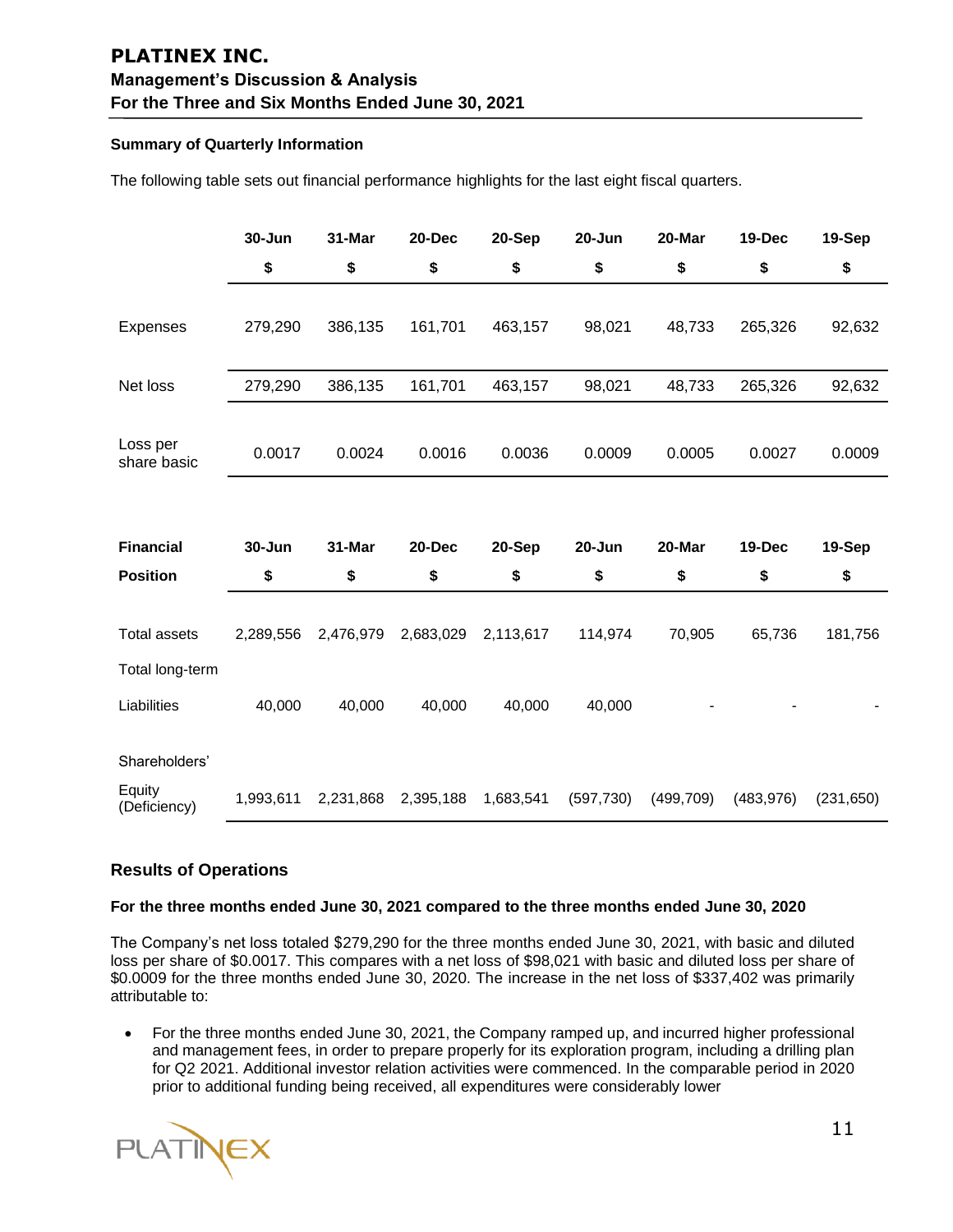#### **Summary of Quarterly Information**

The following table sets out financial performance highlights for the last eight fiscal quarters.

|                         | 30-Jun    | 31-Mar    | 20-Dec    | 20-Sep    | 20-Jun     | 20-Mar     | 19-Dec     | 19-Sep     |
|-------------------------|-----------|-----------|-----------|-----------|------------|------------|------------|------------|
|                         | \$        | \$        | \$        | \$        | \$         | \$         | \$         | \$         |
|                         |           |           |           |           |            |            |            |            |
| <b>Expenses</b>         | 279,290   | 386,135   | 161,701   | 463,157   | 98,021     | 48,733     | 265,326    | 92,632     |
|                         |           |           |           |           |            |            |            |            |
| Net loss                | 279,290   | 386,135   | 161,701   | 463,157   | 98,021     | 48,733     | 265,326    | 92,632     |
|                         |           |           |           |           |            |            |            |            |
| Loss per<br>share basic | 0.0017    | 0.0024    | 0.0016    | 0.0036    | 0.0009     | 0.0005     | 0.0027     | 0.0009     |
|                         |           |           |           |           |            |            |            |            |
|                         |           |           |           |           |            |            |            |            |
| <b>Financial</b>        | 30-Jun    | 31-Mar    | 20-Dec    | 20-Sep    | 20-Jun     | 20-Mar     | 19-Dec     | 19-Sep     |
| <b>Position</b>         | \$        | \$        | \$        | \$        | \$         | \$         | \$         | \$         |
|                         |           |           |           |           |            |            |            |            |
| <b>Total assets</b>     | 2,289,556 | 2,476,979 | 2,683,029 | 2,113,617 | 114,974    | 70,905     | 65,736     | 181,756    |
| Total long-term         |           |           |           |           |            |            |            |            |
| Liabilities             | 40,000    | 40,000    | 40,000    | 40,000    | 40,000     |            |            |            |
|                         |           |           |           |           |            |            |            |            |
| Shareholders'           |           |           |           |           |            |            |            |            |
| Equity<br>(Deficiency)  | 1,993,611 | 2,231,868 | 2,395,188 | 1,683,541 | (597, 730) | (499, 709) | (483, 976) | (231, 650) |

#### **Results of Operations**

#### **For the three months ended June 30, 2021 compared to the three months ended June 30, 2020**

The Company's net loss totaled \$279,290 for the three months ended June 30, 2021, with basic and diluted loss per share of \$0.0017. This compares with a net loss of \$98,021 with basic and diluted loss per share of \$0.0009 for the three months ended June 30, 2020. The increase in the net loss of \$337,402 was primarily attributable to:

• For the three months ended June 30, 2021, the Company ramped up, and incurred higher professional and management fees, in order to prepare properly for its exploration program, including a drilling plan for Q2 2021. Additional investor relation activities were commenced. In the comparable period in 2020 prior to additional funding being received, all expenditures were considerably lower

**PLATINEX**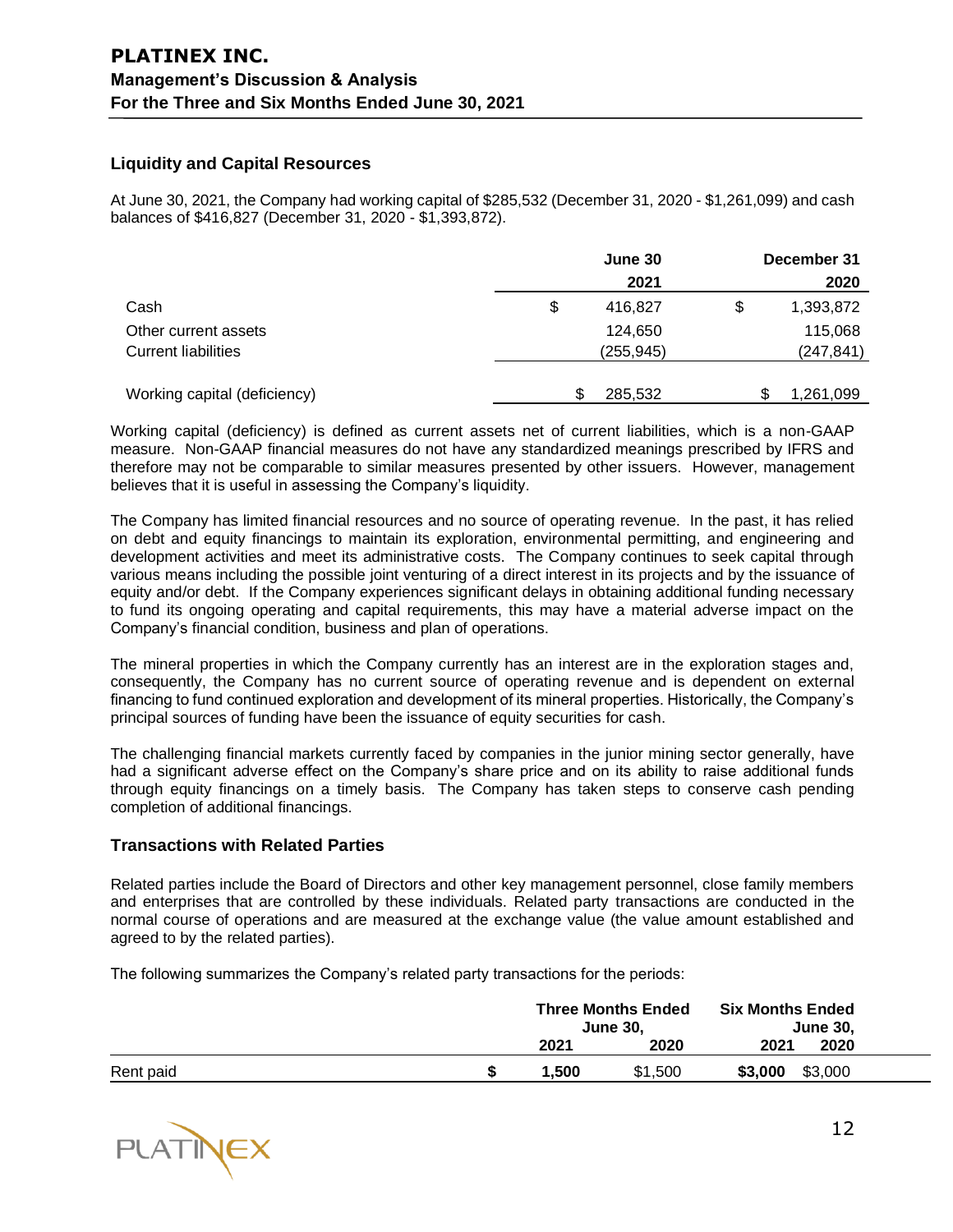### **Liquidity and Capital Resources**

At June 30, 2021, the Company had working capital of \$285,532 (December 31, 2020 - \$1,261,099) and cash balances of \$416,827 (December 31, 2020 - \$1,393,872).

|                              | June 30       |    | December 31 |  |  |
|------------------------------|---------------|----|-------------|--|--|
|                              | 2021          |    | 2020        |  |  |
| Cash                         | \$<br>416,827 | \$ | 1,393,872   |  |  |
| Other current assets         | 124,650       |    | 115,068     |  |  |
| <b>Current liabilities</b>   | (255, 945)    |    | (247, 841)  |  |  |
|                              |               |    |             |  |  |
| Working capital (deficiency) | 285,532       | S  | 1,261,099   |  |  |

Working capital (deficiency) is defined as current assets net of current liabilities, which is a non-GAAP measure. Non-GAAP financial measures do not have any standardized meanings prescribed by IFRS and therefore may not be comparable to similar measures presented by other issuers. However, management believes that it is useful in assessing the Company's liquidity.

The Company has limited financial resources and no source of operating revenue. In the past, it has relied on debt and equity financings to maintain its exploration, environmental permitting, and engineering and development activities and meet its administrative costs. The Company continues to seek capital through various means including the possible joint venturing of a direct interest in its projects and by the issuance of equity and/or debt. If the Company experiences significant delays in obtaining additional funding necessary to fund its ongoing operating and capital requirements, this may have a material adverse impact on the Company's financial condition, business and plan of operations.

The mineral properties in which the Company currently has an interest are in the exploration stages and, consequently, the Company has no current source of operating revenue and is dependent on external financing to fund continued exploration and development of its mineral properties. Historically, the Company's principal sources of funding have been the issuance of equity securities for cash.

The challenging financial markets currently faced by companies in the junior mining sector generally, have had a significant adverse effect on the Company's share price and on its ability to raise additional funds through equity financings on a timely basis. The Company has taken steps to conserve cash pending completion of additional financings.

#### **Transactions with Related Parties**

Related parties include the Board of Directors and other key management personnel, close family members and enterprises that are controlled by these individuals. Related party transactions are conducted in the normal course of operations and are measured at the exchange value (the value amount established and agreed to by the related parties).

The following summarizes the Company's related party transactions for the periods:

|           | <b>Three Months Ended</b><br><b>June 30.</b> |         | <b>Six Months Ended</b><br><b>June 30,</b> |  |
|-----------|----------------------------------------------|---------|--------------------------------------------|--|
|           | 2021                                         | 2020    | 2020<br>2021                               |  |
| Rent paid | 1.500                                        | \$1,500 | \$3,000<br>\$3,000                         |  |

**PLATINEX**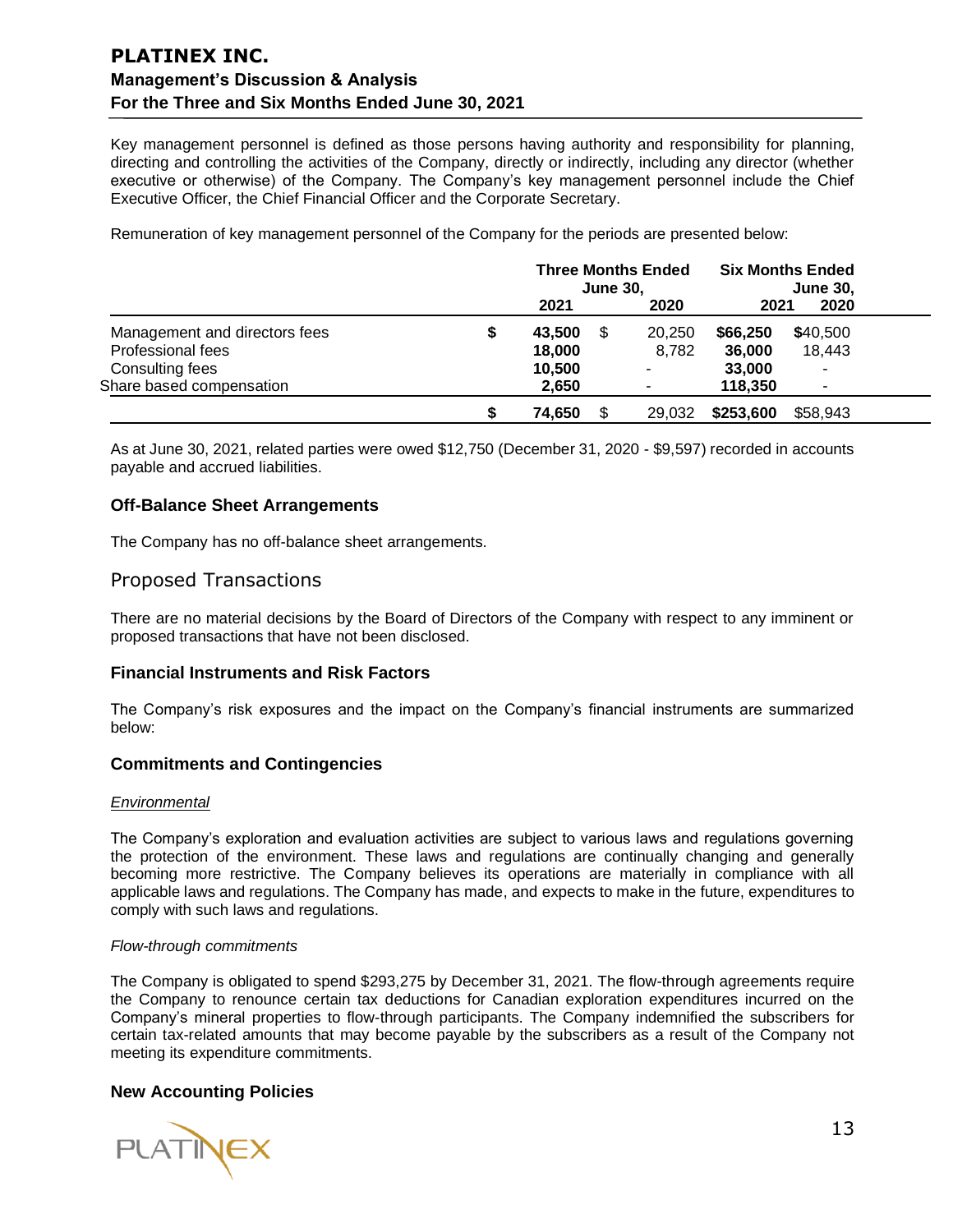Key management personnel is defined as those persons having authority and responsibility for planning, directing and controlling the activities of the Company, directly or indirectly, including any director (whether executive or otherwise) of the Company. The Company's key management personnel include the Chief Executive Officer, the Chief Financial Officer and the Corporate Secretary.

Remuneration of key management personnel of the Company for the periods are presented below:

|                               | <b>Three Months Ended</b><br><b>June 30,</b> |     | <b>Six Months Ended</b><br><b>June 30,</b> |           |          |  |
|-------------------------------|----------------------------------------------|-----|--------------------------------------------|-----------|----------|--|
|                               | 2021                                         |     | 2020                                       | 2021      | 2020     |  |
| Management and directors fees | 43,500                                       | \$. | 20,250                                     | \$66,250  | \$40,500 |  |
| Professional fees             | 18,000                                       |     | 8,782                                      | 36,000    | 18,443   |  |
| Consulting fees               | 10,500                                       |     |                                            | 33,000    |          |  |
| Share based compensation      | 2,650                                        |     |                                            | 118,350   |          |  |
|                               | 74.650                                       |     | 29,032                                     | \$253,600 | \$58,943 |  |

As at June 30, 2021, related parties were owed \$12,750 (December 31, 2020 - \$9,597) recorded in accounts payable and accrued liabilities.

### **Off-Balance Sheet Arrangements**

The Company has no off-balance sheet arrangements.

### Proposed Transactions

There are no material decisions by the Board of Directors of the Company with respect to any imminent or proposed transactions that have not been disclosed.

#### **Financial Instruments and Risk Factors**

The Company's risk exposures and the impact on the Company's financial instruments are summarized below:

#### **Commitments and Contingencies**

#### *Environmental*

The Company's exploration and evaluation activities are subject to various laws and regulations governing the protection of the environment. These laws and regulations are continually changing and generally becoming more restrictive. The Company believes its operations are materially in compliance with all applicable laws and regulations. The Company has made, and expects to make in the future, expenditures to comply with such laws and regulations.

#### *Flow-through commitments*

The Company is obligated to spend \$293,275 by December 31, 2021. The flow-through agreements require the Company to renounce certain tax deductions for Canadian exploration expenditures incurred on the Company's mineral properties to flow-through participants. The Company indemnified the subscribers for certain tax-related amounts that may become payable by the subscribers as a result of the Company not meeting its expenditure commitments.

#### **New Accounting Policies**

**PLATINEX**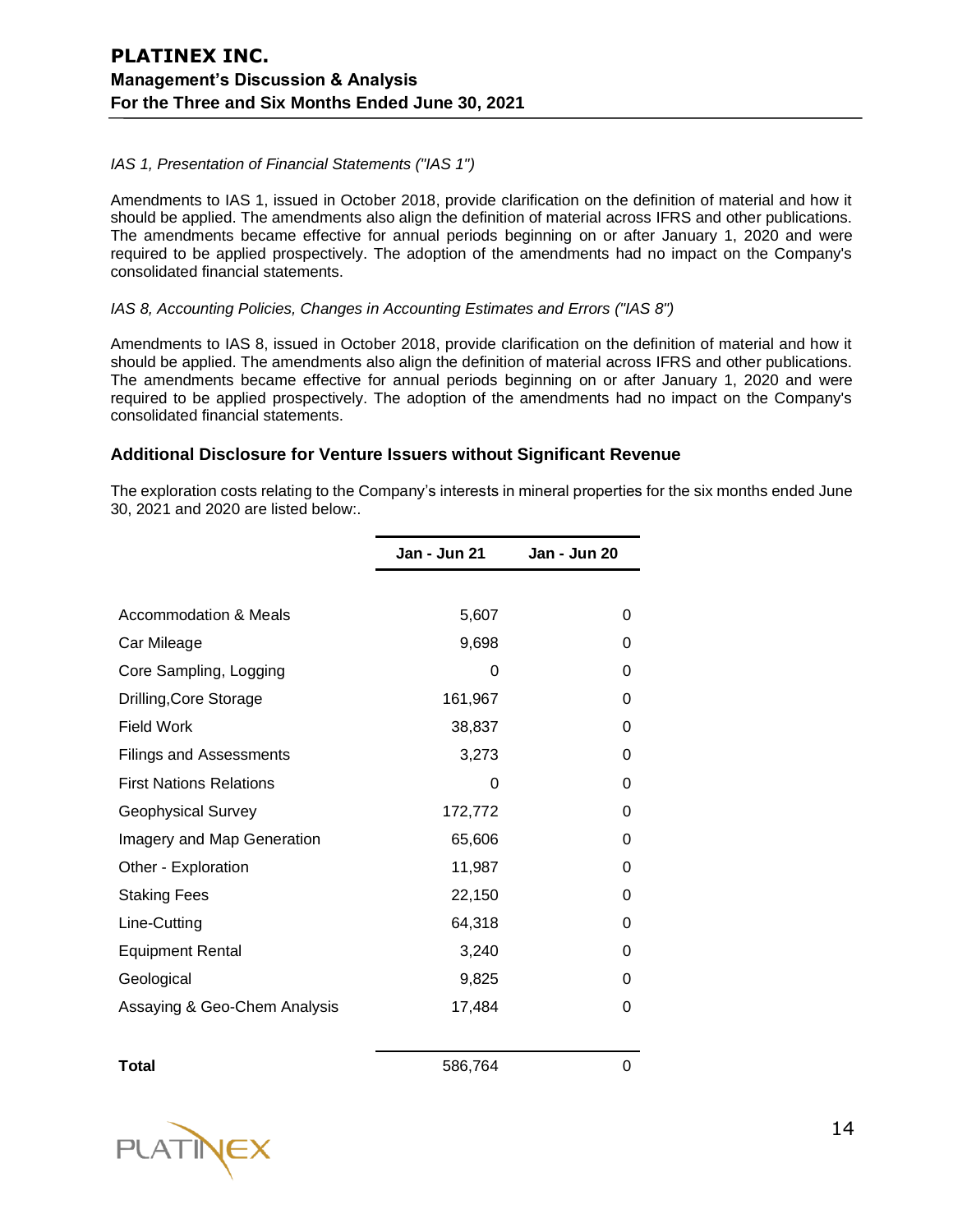#### *IAS 1, Presentation of Financial Statements ("IAS 1")*

Amendments to IAS 1, issued in October 2018, provide clarification on the definition of material and how it should be applied. The amendments also align the definition of material across IFRS and other publications. The amendments became effective for annual periods beginning on or after January 1, 2020 and were required to be applied prospectively. The adoption of the amendments had no impact on the Company's consolidated financial statements.

#### *IAS 8, Accounting Policies, Changes in Accounting Estimates and Errors ("IAS 8")*

Amendments to IAS 8, issued in October 2018, provide clarification on the definition of material and how it should be applied. The amendments also align the definition of material across IFRS and other publications. The amendments became effective for annual periods beginning on or after January 1, 2020 and were required to be applied prospectively. The adoption of the amendments had no impact on the Company's consolidated financial statements.

### **Additional Disclosure for Venture Issuers without Significant Revenue**

The exploration costs relating to the Company's interests in mineral properties for the six months ended June 30, 2021 and 2020 are listed below:.

|                                | Jan - Jun 21 | Jan - Jun 20 |
|--------------------------------|--------------|--------------|
|                                |              |              |
| Accommodation & Meals          | 5,607        | 0            |
| Car Mileage                    | 9,698        | 0            |
| Core Sampling, Logging         | 0            | 0            |
| Drilling, Core Storage         | 161,967      | 0            |
| <b>Field Work</b>              | 38,837       | 0            |
| <b>Filings and Assessments</b> | 3,273        | 0            |
| <b>First Nations Relations</b> | 0            | 0            |
| <b>Geophysical Survey</b>      | 172,772      | 0            |
| Imagery and Map Generation     | 65,606       | 0            |
| Other - Exploration            | 11,987       | 0            |
| <b>Staking Fees</b>            | 22,150       | 0            |
| Line-Cutting                   | 64,318       | 0            |
| <b>Equipment Rental</b>        | 3,240        | 0            |
| Geological                     | 9,825        | 0            |
| Assaying & Geo-Chem Analysis   | 17,484       | 0            |
|                                |              |              |

**Total** 586,764 0

**PLATINEX**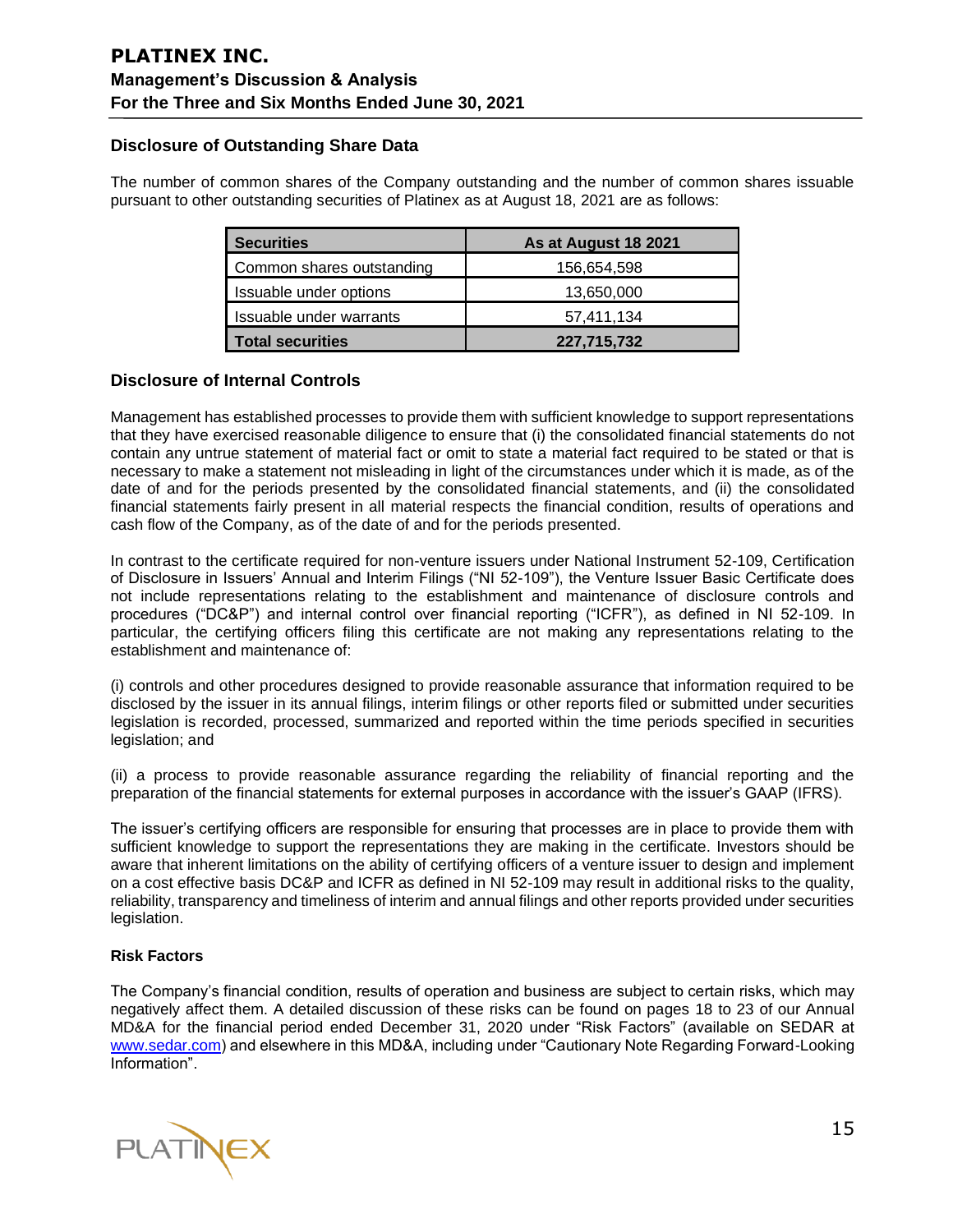### **Disclosure of Outstanding Share Data**

The number of common shares of the Company outstanding and the number of common shares issuable pursuant to other outstanding securities of Platinex as at August 18, 2021 are as follows:

| <b>Securities</b>         | As at August 18 2021 |  |  |  |  |
|---------------------------|----------------------|--|--|--|--|
| Common shares outstanding | 156,654,598          |  |  |  |  |
| Issuable under options    | 13,650,000           |  |  |  |  |
| Issuable under warrants   | 57,411,134           |  |  |  |  |
| <b>Total securities</b>   | 227,715,732          |  |  |  |  |

### **Disclosure of Internal Controls**

Management has established processes to provide them with sufficient knowledge to support representations that they have exercised reasonable diligence to ensure that (i) the consolidated financial statements do not contain any untrue statement of material fact or omit to state a material fact required to be stated or that is necessary to make a statement not misleading in light of the circumstances under which it is made, as of the date of and for the periods presented by the consolidated financial statements, and (ii) the consolidated financial statements fairly present in all material respects the financial condition, results of operations and cash flow of the Company, as of the date of and for the periods presented.

In contrast to the certificate required for non-venture issuers under National Instrument 52-109, Certification of Disclosure in Issuers' Annual and Interim Filings ("NI 52-109"), the Venture Issuer Basic Certificate does not include representations relating to the establishment and maintenance of disclosure controls and procedures ("DC&P") and internal control over financial reporting ("ICFR"), as defined in NI 52-109. In particular, the certifying officers filing this certificate are not making any representations relating to the establishment and maintenance of:

(i) controls and other procedures designed to provide reasonable assurance that information required to be disclosed by the issuer in its annual filings, interim filings or other reports filed or submitted under securities legislation is recorded, processed, summarized and reported within the time periods specified in securities legislation; and

(ii) a process to provide reasonable assurance regarding the reliability of financial reporting and the preparation of the financial statements for external purposes in accordance with the issuer's GAAP (IFRS).

The issuer's certifying officers are responsible for ensuring that processes are in place to provide them with sufficient knowledge to support the representations they are making in the certificate. Investors should be aware that inherent limitations on the ability of certifying officers of a venture issuer to design and implement on a cost effective basis DC&P and ICFR as defined in NI 52-109 may result in additional risks to the quality, reliability, transparency and timeliness of interim and annual filings and other reports provided under securities legislation.

#### **Risk Factors**

The Company's financial condition, results of operation and business are subject to certain risks, which may negatively affect them. A detailed discussion of these risks can be found on pages 18 to 23 of our Annual MD&A for the financial period ended December 31, 2020 under "Risk Factors" (available on SEDAR at [www.sedar.com\)](http://www.sedar.com/) and elsewhere in this MD&A, including under "Cautionary Note Regarding Forward-Looking Information".

**PLATINEX**